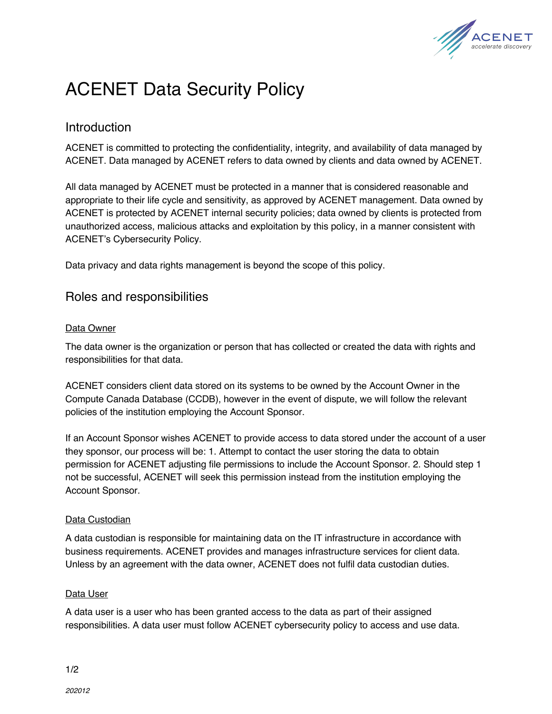

# ACENET Data Security Policy

## Introduction

ACENET is committed to protecting the confidentiality, integrity, and availability of data managed by ACENET. Data managed by ACENET refers to data owned by clients and data owned by ACENET.

All data managed by ACENET must be protected in a manner that is considered reasonable and appropriate to their life cycle and sensitivity, as approved by ACENET management. Data owned by ACENET is protected by ACENET internal security policies; data owned by clients is protected from unauthorized access, malicious attacks and exploitation by this policy, in a manner consistent with ACENET's Cybersecurity Policy.

Data privacy and data rights management is beyond the scope of this policy.

## Roles and responsibilities

#### Data Owner

The data owner is the organization or person that has collected or created the data with rights and responsibilities for that data.

ACENET considers client data stored on its systems to be owned by the Account Owner in the Compute Canada Database (CCDB), however in the event of dispute, we will follow the relevant policies of the institution employing the Account Sponsor.

If an Account Sponsor wishes ACENET to provide access to data stored under the account of a user they sponsor, our process will be: 1. Attempt to contact the user storing the data to obtain permission for ACENET adjusting file permissions to include the Account Sponsor. 2. Should step 1 not be successful, ACENET will seek this permission instead from the institution employing the Account Sponsor*.*

#### Data Custodian

A data custodian is responsible for maintaining data on the IT infrastructure in accordance with business requirements. ACENET provides and manages infrastructure services for client data. Unless by an agreement with the data owner, ACENET does not fulfil data custodian duties.

#### Data User

A data user is a user who has been granted access to the data as part of their assigned responsibilities. A data user must follow ACENET cybersecurity policy to access and use data.